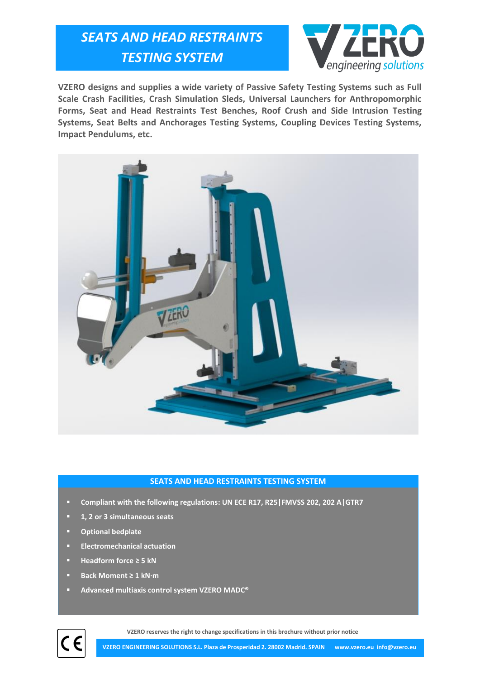## *SEATS AND HEAD RESTRAINTS TESTING SYSTEM*



**VZERO designs and supplies a wide variety of Passive Safety Testing Systems such as Full Scale Crash Facilities, Crash Simulation Sleds, Universal Launchers for Anthropomorphic Forms, Seat and Head Restraints Test Benches, Roof Crush and Side Intrusion Testing Systems, Seat Belts and Anchorages Testing Systems, Coupling Devices Testing Systems, Impact Pendulums, etc.**



## **SEATS AND HEAD RESTRAINTS TESTING SYSTEM**

- **Compliant with the following regulations: UN ECE R17, R25|FMVSS 202, 202 A|GTR7**
- **1, 2 or 3 simultaneous seats**
- **Optional bedplate**
- **Electromechanical actuation**
- **Headform force ≥ 5 kN**
- **Back Moment ≥ 1 kN·m**
- **Advanced multiaxis control system VZERO MADC®**



**VZERO reserves the right to change specifications in this brochure without prior notice**